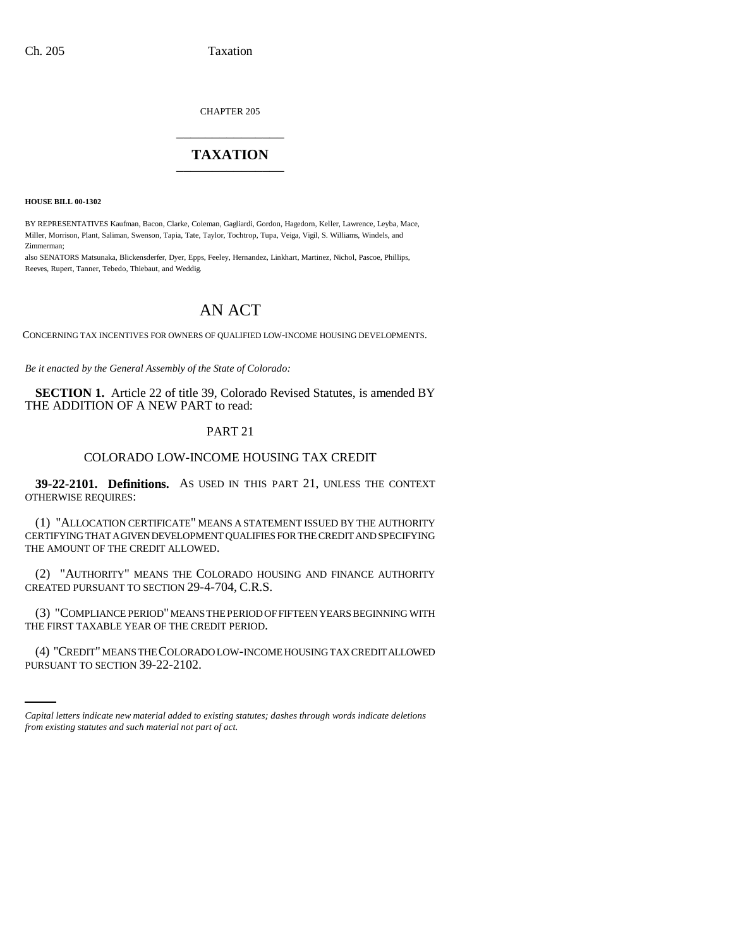CHAPTER 205 \_\_\_\_\_\_\_\_\_\_\_\_\_\_\_

## **TAXATION** \_\_\_\_\_\_\_\_\_\_\_\_\_\_\_

**HOUSE BILL 00-1302** 

BY REPRESENTATIVES Kaufman, Bacon, Clarke, Coleman, Gagliardi, Gordon, Hagedorn, Keller, Lawrence, Leyba, Mace, Miller, Morrison, Plant, Saliman, Swenson, Tapia, Tate, Taylor, Tochtrop, Tupa, Veiga, Vigil, S. Williams, Windels, and Zimmerman;

also SENATORS Matsunaka, Blickensderfer, Dyer, Epps, Feeley, Hernandez, Linkhart, Martinez, Nichol, Pascoe, Phillips, Reeves, Rupert, Tanner, Tebedo, Thiebaut, and Weddig.

# AN ACT

CONCERNING TAX INCENTIVES FOR OWNERS OF QUALIFIED LOW-INCOME HOUSING DEVELOPMENTS.

*Be it enacted by the General Assembly of the State of Colorado:*

**SECTION 1.** Article 22 of title 39, Colorado Revised Statutes, is amended BY THE ADDITION OF A NEW PART to read:

#### PART 21

### COLORADO LOW-INCOME HOUSING TAX CREDIT

**39-22-2101. Definitions.** AS USED IN THIS PART 21, UNLESS THE CONTEXT OTHERWISE REQUIRES:

(1) "ALLOCATION CERTIFICATE" MEANS A STATEMENT ISSUED BY THE AUTHORITY CERTIFYING THAT A GIVEN DEVELOPMENT QUALIFIES FOR THE CREDIT AND SPECIFYING THE AMOUNT OF THE CREDIT ALLOWED.

(2) "AUTHORITY" MEANS THE COLORADO HOUSING AND FINANCE AUTHORITY CREATED PURSUANT TO SECTION 29-4-704, C.R.S.

(3) "COMPLIANCE PERIOD" MEANS THE PERIOD OF FIFTEEN YEARS BEGINNING WITH THE FIRST TAXABLE YEAR OF THE CREDIT PERIOD.

i<br>Santa (4) "CREDIT" MEANS THE COLORADO LOW-INCOME HOUSING TAX CREDIT ALLOWED PURSUANT TO SECTION 39-22-2102.

*Capital letters indicate new material added to existing statutes; dashes through words indicate deletions from existing statutes and such material not part of act.*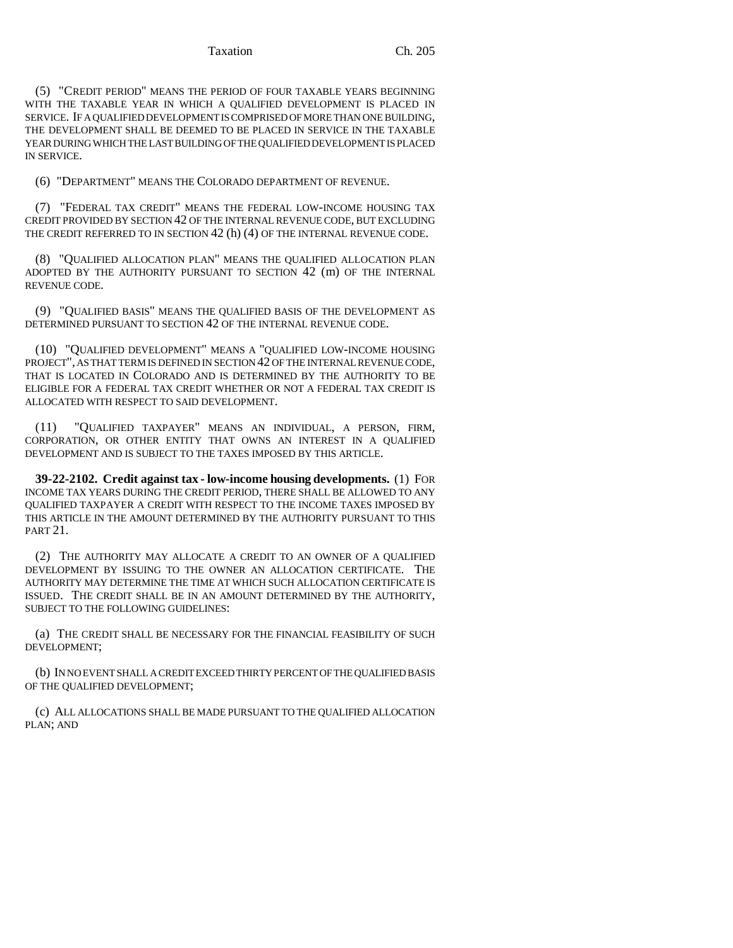(5) "CREDIT PERIOD" MEANS THE PERIOD OF FOUR TAXABLE YEARS BEGINNING WITH THE TAXABLE YEAR IN WHICH A QUALIFIED DEVELOPMENT IS PLACED IN SERVICE. IF A QUALIFIED DEVELOPMENT IS COMPRISED OF MORE THAN ONE BUILDING, THE DEVELOPMENT SHALL BE DEEMED TO BE PLACED IN SERVICE IN THE TAXABLE YEAR DURING WHICH THE LAST BUILDING OF THE QUALIFIED DEVELOPMENT IS PLACED IN SERVICE.

(6) "DEPARTMENT" MEANS THE COLORADO DEPARTMENT OF REVENUE.

(7) "FEDERAL TAX CREDIT" MEANS THE FEDERAL LOW-INCOME HOUSING TAX CREDIT PROVIDED BY SECTION 42 OF THE INTERNAL REVENUE CODE, BUT EXCLUDING THE CREDIT REFERRED TO IN SECTION 42 (h) (4) OF THE INTERNAL REVENUE CODE.

(8) "QUALIFIED ALLOCATION PLAN" MEANS THE QUALIFIED ALLOCATION PLAN ADOPTED BY THE AUTHORITY PURSUANT TO SECTION 42 (m) OF THE INTERNAL REVENUE CODE.

(9) "QUALIFIED BASIS" MEANS THE QUALIFIED BASIS OF THE DEVELOPMENT AS DETERMINED PURSUANT TO SECTION 42 OF THE INTERNAL REVENUE CODE.

(10) "QUALIFIED DEVELOPMENT" MEANS A "QUALIFIED LOW-INCOME HOUSING PROJECT", AS THAT TERM IS DEFINED IN SECTION 42 OF THE INTERNAL REVENUE CODE, THAT IS LOCATED IN COLORADO AND IS DETERMINED BY THE AUTHORITY TO BE ELIGIBLE FOR A FEDERAL TAX CREDIT WHETHER OR NOT A FEDERAL TAX CREDIT IS ALLOCATED WITH RESPECT TO SAID DEVELOPMENT.

(11) "QUALIFIED TAXPAYER" MEANS AN INDIVIDUAL, A PERSON, FIRM, CORPORATION, OR OTHER ENTITY THAT OWNS AN INTEREST IN A QUALIFIED DEVELOPMENT AND IS SUBJECT TO THE TAXES IMPOSED BY THIS ARTICLE.

**39-22-2102. Credit against tax - low-income housing developments.** (1) FOR INCOME TAX YEARS DURING THE CREDIT PERIOD, THERE SHALL BE ALLOWED TO ANY QUALIFIED TAXPAYER A CREDIT WITH RESPECT TO THE INCOME TAXES IMPOSED BY THIS ARTICLE IN THE AMOUNT DETERMINED BY THE AUTHORITY PURSUANT TO THIS PART 21.

(2) THE AUTHORITY MAY ALLOCATE A CREDIT TO AN OWNER OF A QUALIFIED DEVELOPMENT BY ISSUING TO THE OWNER AN ALLOCATION CERTIFICATE. THE AUTHORITY MAY DETERMINE THE TIME AT WHICH SUCH ALLOCATION CERTIFICATE IS ISSUED. THE CREDIT SHALL BE IN AN AMOUNT DETERMINED BY THE AUTHORITY, SUBJECT TO THE FOLLOWING GUIDELINES:

(a) THE CREDIT SHALL BE NECESSARY FOR THE FINANCIAL FEASIBILITY OF SUCH DEVELOPMENT;

(b) IN NO EVENT SHALL A CREDIT EXCEED THIRTY PERCENT OF THE QUALIFIED BASIS OF THE QUALIFIED DEVELOPMENT;

(c) ALL ALLOCATIONS SHALL BE MADE PURSUANT TO THE QUALIFIED ALLOCATION PLAN; AND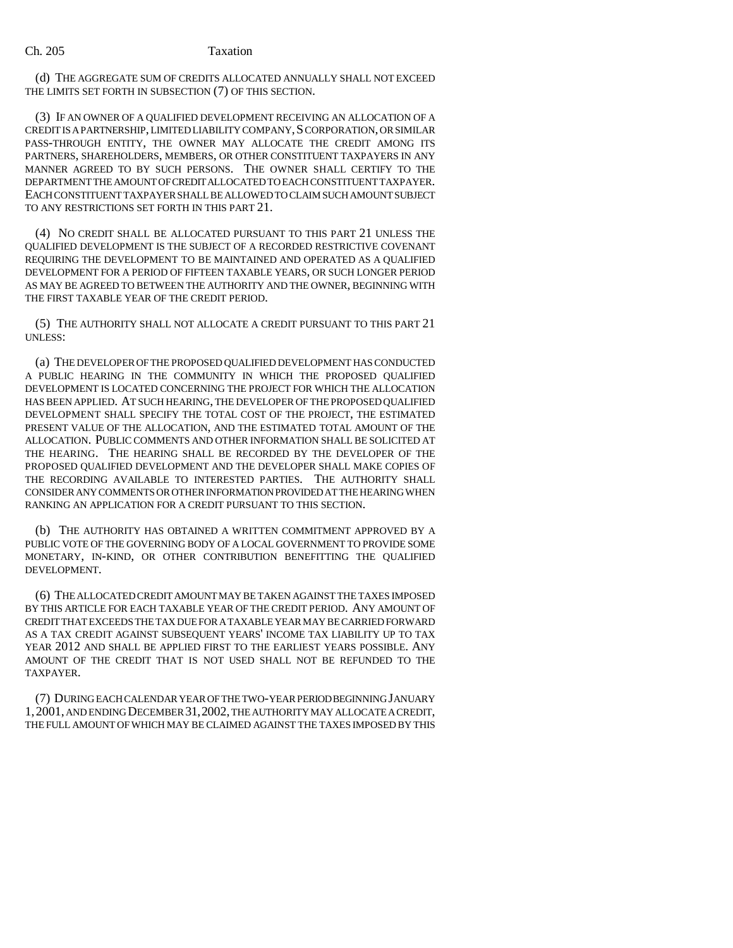(d) THE AGGREGATE SUM OF CREDITS ALLOCATED ANNUALLY SHALL NOT EXCEED THE LIMITS SET FORTH IN SUBSECTION (7) OF THIS SECTION.

(3) IF AN OWNER OF A QUALIFIED DEVELOPMENT RECEIVING AN ALLOCATION OF A CREDIT IS A PARTNERSHIP, LIMITED LIABILITY COMPANY,S CORPORATION, OR SIMILAR PASS-THROUGH ENTITY, THE OWNER MAY ALLOCATE THE CREDIT AMONG ITS PARTNERS, SHAREHOLDERS, MEMBERS, OR OTHER CONSTITUENT TAXPAYERS IN ANY MANNER AGREED TO BY SUCH PERSONS. THE OWNER SHALL CERTIFY TO THE DEPARTMENT THE AMOUNT OF CREDIT ALLOCATED TO EACH CONSTITUENT TAXPAYER. EACH CONSTITUENT TAXPAYER SHALL BE ALLOWED TO CLAIM SUCH AMOUNT SUBJECT TO ANY RESTRICTIONS SET FORTH IN THIS PART 21.

(4) NO CREDIT SHALL BE ALLOCATED PURSUANT TO THIS PART 21 UNLESS THE QUALIFIED DEVELOPMENT IS THE SUBJECT OF A RECORDED RESTRICTIVE COVENANT REQUIRING THE DEVELOPMENT TO BE MAINTAINED AND OPERATED AS A QUALIFIED DEVELOPMENT FOR A PERIOD OF FIFTEEN TAXABLE YEARS, OR SUCH LONGER PERIOD AS MAY BE AGREED TO BETWEEN THE AUTHORITY AND THE OWNER, BEGINNING WITH THE FIRST TAXABLE YEAR OF THE CREDIT PERIOD.

(5) THE AUTHORITY SHALL NOT ALLOCATE A CREDIT PURSUANT TO THIS PART 21 UNLESS:

(a) THE DEVELOPER OF THE PROPOSED QUALIFIED DEVELOPMENT HAS CONDUCTED A PUBLIC HEARING IN THE COMMUNITY IN WHICH THE PROPOSED QUALIFIED DEVELOPMENT IS LOCATED CONCERNING THE PROJECT FOR WHICH THE ALLOCATION HAS BEEN APPLIED. AT SUCH HEARING, THE DEVELOPER OF THE PROPOSED QUALIFIED DEVELOPMENT SHALL SPECIFY THE TOTAL COST OF THE PROJECT, THE ESTIMATED PRESENT VALUE OF THE ALLOCATION, AND THE ESTIMATED TOTAL AMOUNT OF THE ALLOCATION. PUBLIC COMMENTS AND OTHER INFORMATION SHALL BE SOLICITED AT THE HEARING. THE HEARING SHALL BE RECORDED BY THE DEVELOPER OF THE PROPOSED QUALIFIED DEVELOPMENT AND THE DEVELOPER SHALL MAKE COPIES OF THE RECORDING AVAILABLE TO INTERESTED PARTIES. THE AUTHORITY SHALL CONSIDER ANY COMMENTS OR OTHER INFORMATION PROVIDED AT THE HEARING WHEN RANKING AN APPLICATION FOR A CREDIT PURSUANT TO THIS SECTION.

(b) THE AUTHORITY HAS OBTAINED A WRITTEN COMMITMENT APPROVED BY A PUBLIC VOTE OF THE GOVERNING BODY OF A LOCAL GOVERNMENT TO PROVIDE SOME MONETARY, IN-KIND, OR OTHER CONTRIBUTION BENEFITTING THE QUALIFIED DEVELOPMENT.

(6) THE ALLOCATED CREDIT AMOUNT MAY BE TAKEN AGAINST THE TAXES IMPOSED BY THIS ARTICLE FOR EACH TAXABLE YEAR OF THE CREDIT PERIOD. ANY AMOUNT OF CREDIT THAT EXCEEDS THE TAX DUE FOR A TAXABLE YEAR MAY BE CARRIED FORWARD AS A TAX CREDIT AGAINST SUBSEQUENT YEARS' INCOME TAX LIABILITY UP TO TAX YEAR 2012 AND SHALL BE APPLIED FIRST TO THE EARLIEST YEARS POSSIBLE. ANY AMOUNT OF THE CREDIT THAT IS NOT USED SHALL NOT BE REFUNDED TO THE TAXPAYER.

(7) DURING EACH CALENDAR YEAR OF THE TWO-YEAR PERIOD BEGINNING JANUARY 1,2001, AND ENDING DECEMBER 31,2002, THE AUTHORITY MAY ALLOCATE A CREDIT, THE FULL AMOUNT OF WHICH MAY BE CLAIMED AGAINST THE TAXES IMPOSED BY THIS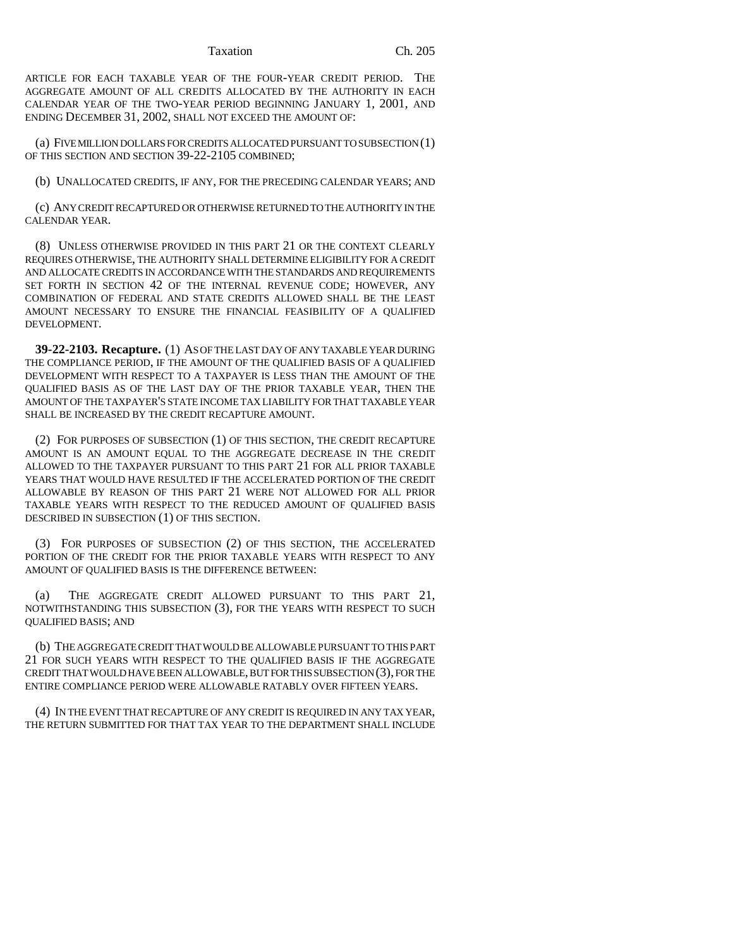#### Taxation Ch. 205

ARTICLE FOR EACH TAXABLE YEAR OF THE FOUR-YEAR CREDIT PERIOD. THE AGGREGATE AMOUNT OF ALL CREDITS ALLOCATED BY THE AUTHORITY IN EACH CALENDAR YEAR OF THE TWO-YEAR PERIOD BEGINNING JANUARY 1, 2001, AND ENDING DECEMBER 31, 2002, SHALL NOT EXCEED THE AMOUNT OF:

(a) FIVE MILLION DOLLARS FOR CREDITS ALLOCATED PURSUANT TO SUBSECTION (1) OF THIS SECTION AND SECTION 39-22-2105 COMBINED;

(b) UNALLOCATED CREDITS, IF ANY, FOR THE PRECEDING CALENDAR YEARS; AND

(c) ANY CREDIT RECAPTURED OR OTHERWISE RETURNED TO THE AUTHORITY IN THE CALENDAR YEAR.

(8) UNLESS OTHERWISE PROVIDED IN THIS PART 21 OR THE CONTEXT CLEARLY REQUIRES OTHERWISE, THE AUTHORITY SHALL DETERMINE ELIGIBILITY FOR A CREDIT AND ALLOCATE CREDITS IN ACCORDANCE WITH THE STANDARDS AND REQUIREMENTS SET FORTH IN SECTION 42 OF THE INTERNAL REVENUE CODE; HOWEVER, ANY COMBINATION OF FEDERAL AND STATE CREDITS ALLOWED SHALL BE THE LEAST AMOUNT NECESSARY TO ENSURE THE FINANCIAL FEASIBILITY OF A QUALIFIED DEVELOPMENT.

**39-22-2103. Recapture.** (1) AS OF THE LAST DAY OF ANY TAXABLE YEAR DURING THE COMPLIANCE PERIOD, IF THE AMOUNT OF THE QUALIFIED BASIS OF A QUALIFIED DEVELOPMENT WITH RESPECT TO A TAXPAYER IS LESS THAN THE AMOUNT OF THE QUALIFIED BASIS AS OF THE LAST DAY OF THE PRIOR TAXABLE YEAR, THEN THE AMOUNT OF THE TAXPAYER'S STATE INCOME TAX LIABILITY FOR THAT TAXABLE YEAR SHALL BE INCREASED BY THE CREDIT RECAPTURE AMOUNT.

(2) FOR PURPOSES OF SUBSECTION (1) OF THIS SECTION, THE CREDIT RECAPTURE AMOUNT IS AN AMOUNT EQUAL TO THE AGGREGATE DECREASE IN THE CREDIT ALLOWED TO THE TAXPAYER PURSUANT TO THIS PART 21 FOR ALL PRIOR TAXABLE YEARS THAT WOULD HAVE RESULTED IF THE ACCELERATED PORTION OF THE CREDIT ALLOWABLE BY REASON OF THIS PART 21 WERE NOT ALLOWED FOR ALL PRIOR TAXABLE YEARS WITH RESPECT TO THE REDUCED AMOUNT OF QUALIFIED BASIS DESCRIBED IN SUBSECTION (1) OF THIS SECTION.

(3) FOR PURPOSES OF SUBSECTION (2) OF THIS SECTION, THE ACCELERATED PORTION OF THE CREDIT FOR THE PRIOR TAXABLE YEARS WITH RESPECT TO ANY AMOUNT OF QUALIFIED BASIS IS THE DIFFERENCE BETWEEN:

(a) THE AGGREGATE CREDIT ALLOWED PURSUANT TO THIS PART 21, NOTWITHSTANDING THIS SUBSECTION (3), FOR THE YEARS WITH RESPECT TO SUCH QUALIFIED BASIS; AND

(b) THE AGGREGATE CREDIT THAT WOULD BE ALLOWABLE PURSUANT TO THIS PART 21 FOR SUCH YEARS WITH RESPECT TO THE QUALIFIED BASIS IF THE AGGREGATE CREDIT THAT WOULD HAVE BEEN ALLOWABLE, BUT FOR THIS SUBSECTION (3), FOR THE ENTIRE COMPLIANCE PERIOD WERE ALLOWABLE RATABLY OVER FIFTEEN YEARS.

(4) IN THE EVENT THAT RECAPTURE OF ANY CREDIT IS REQUIRED IN ANY TAX YEAR, THE RETURN SUBMITTED FOR THAT TAX YEAR TO THE DEPARTMENT SHALL INCLUDE